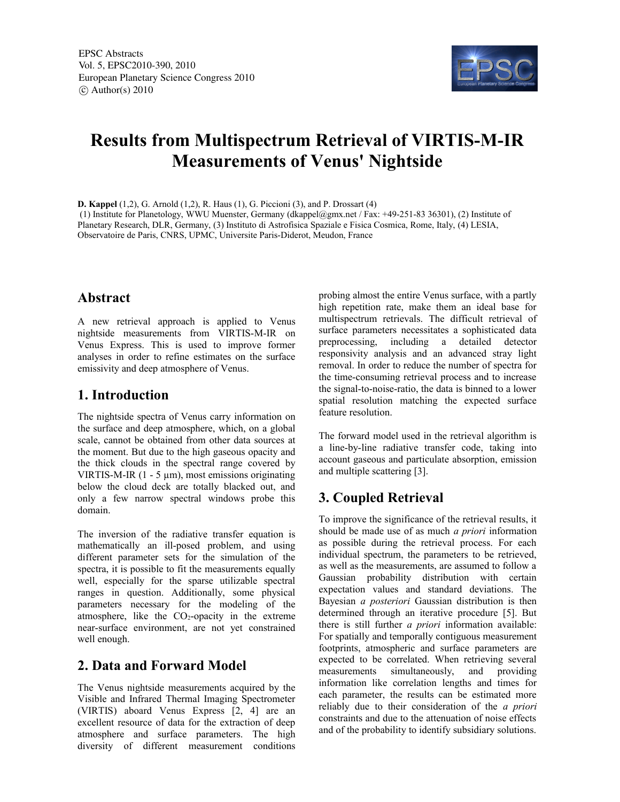

# **Results from Multispectrum Retrieval of VIRTIS-M-IR Measurements of Venus' Nightside**

**D. Kappel** (1,2), G. Arnold (1,2), R. Haus (1), G. Piccioni (3), and P. Drossart (4)

 (1) Institute for Planetology, WWU Muenster, Germany (dkappel@gmx.net / Fax: +49-251-83 36301), (2) Institute of Planetary Research, DLR, Germany, (3) Instituto di Astrofisica Spaziale e Fisica Cosmica, Rome, Italy, (4) LESIA, Observatoire de Paris, CNRS, UPMC, Universite Paris-Diderot, Meudon, France

### **Abstract**

A new retrieval approach is applied to Venus nightside measurements from VIRTIS-M-IR on Venus Express. This is used to improve former analyses in order to refine estimates on the surface emissivity and deep atmosphere of Venus.

### **1. Introduction**

The nightside spectra of Venus carry information on the surface and deep atmosphere, which, on a global scale, cannot be obtained from other data sources at the moment. But due to the high gaseous opacity and the thick clouds in the spectral range covered by VIRTIS-M-IR  $(1 - 5 \mu m)$ , most emissions originating below the cloud deck are totally blacked out, and only a few narrow spectral windows probe this domain.

The inversion of the radiative transfer equation is mathematically an ill-posed problem, and using different parameter sets for the simulation of the spectra, it is possible to fit the measurements equally well, especially for the sparse utilizable spectral ranges in question. Additionally, some physical parameters necessary for the modeling of the atmosphere, like the  $CO<sub>2</sub>$ -opacity in the extreme near-surface environment, are not yet constrained well enough.

## **2. Data and Forward Model**

The Venus nightside measurements acquired by the Visible and Infrared Thermal Imaging Spectrometer (VIRTIS) aboard Venus Express [2, 4] are an excellent resource of data for the extraction of deep atmosphere and surface parameters. The high diversity of different measurement conditions

probing almost the entire Venus surface, with a partly high repetition rate, make them an ideal base for multispectrum retrievals. The difficult retrieval of surface parameters necessitates a sophisticated data preprocessing, including a detailed detector responsivity analysis and an advanced stray light removal. In order to reduce the number of spectra for the time-consuming retrieval process and to increase the signal-to-noise-ratio, the data is binned to a lower spatial resolution matching the expected surface feature resolution.

The forward model used in the retrieval algorithm is a line-by-line radiative transfer code, taking into account gaseous and particulate absorption, emission and multiple scattering [3].

# **3. Coupled Retrieval**

To improve the significance of the retrieval results, it should be made use of as much *a priori* information as possible during the retrieval process. For each individual spectrum, the parameters to be retrieved, as well as the measurements, are assumed to follow a Gaussian probability distribution with certain expectation values and standard deviations. The Bayesian *a posteriori* Gaussian distribution is then determined through an iterative procedure [5]. But there is still further *a priori* information available: For spatially and temporally contiguous measurement footprints, atmospheric and surface parameters are expected to be correlated. When retrieving several measurements simultaneously, and providing information like correlation lengths and times for each parameter, the results can be estimated more reliably due to their consideration of the *a priori* constraints and due to the attenuation of noise effects and of the probability to identify subsidiary solutions.